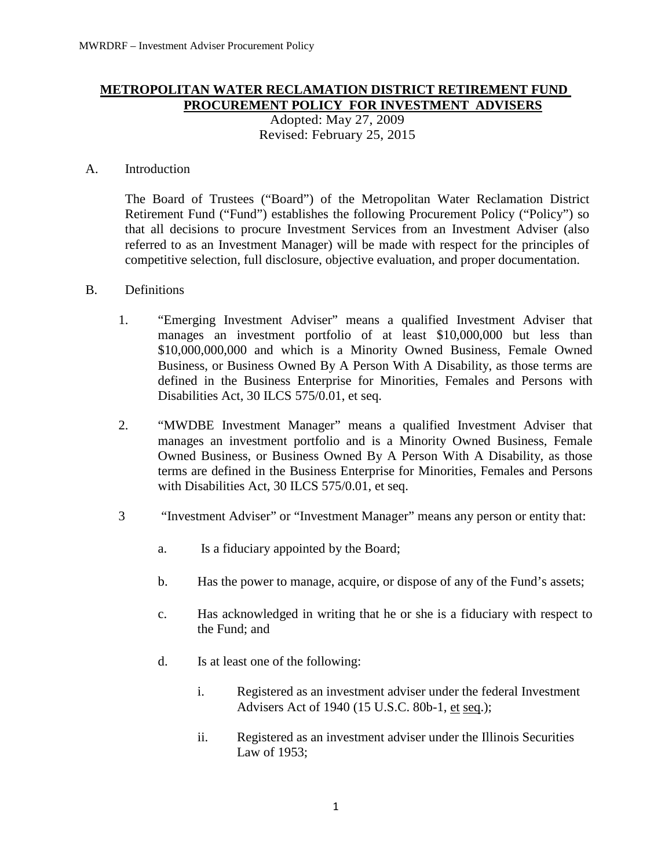## **METROPOLITAN WATER RECLAMATION DISTRICT RETIREMENT FUND PROCUREMENT POLICY FOR INVESTMENT ADVISERS** Adopted: May 27, 2009

Revised: February 25, 2015

## A. Introduction

The Board of Trustees ("Board") of the Metropolitan Water Reclamation District Retirement Fund ("Fund") establishes the following Procurement Policy ("Policy") so that all decisions to procure Investment Services from an Investment Adviser (also referred to as an Investment Manager) will be made with respect for the principles of competitive selection, full disclosure, objective evaluation, and proper documentation.

## B. Definitions

- 1. "Emerging Investment Adviser" means a qualified Investment Adviser that manages an investment portfolio of at least \$10,000,000 but less than \$10,000,000,000 and which is a Minority Owned Business, Female Owned Business, or Business Owned By A Person With A Disability, as those terms are defined in the Business Enterprise for Minorities, Females and Persons with Disabilities Act, 30 ILCS 575/0.01, et seq.
- 2. "MWDBE Investment Manager" means a qualified Investment Adviser that manages an investment portfolio and is a Minority Owned Business, Female Owned Business, or Business Owned By A Person With A Disability, as those terms are defined in the Business Enterprise for Minorities, Females and Persons with Disabilities Act, 30 ILCS 575/0.01, et seq.
- 3 "Investment Adviser" or "Investment Manager" means any person or entity that:
	- a. Is a fiduciary appointed by the Board;
	- b. Has the power to manage, acquire, or dispose of any of the Fund's assets;
	- c. Has acknowledged in writing that he or she is a fiduciary with respect to the Fund; and
	- d. Is at least one of the following:
		- i. Registered as an investment adviser under the federal Investment Advisers Act of 1940 (15 U.S.C. 80b-1, et seq.);
		- ii. Registered as an investment adviser under the Illinois Securities Law of 1953;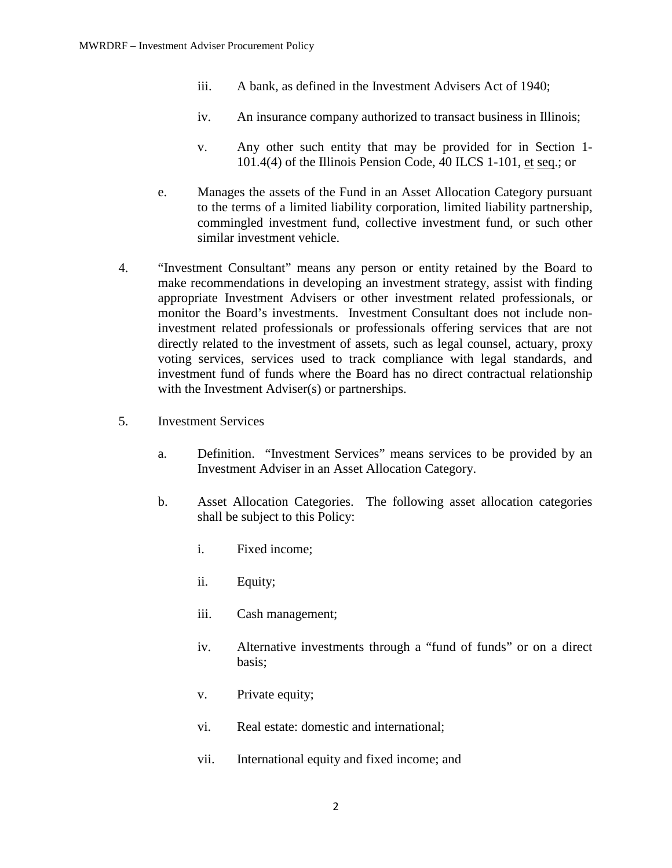- iii. A bank, as defined in the Investment Advisers Act of 1940;
- iv. An insurance company authorized to transact business in Illinois;
- v. Any other such entity that may be provided for in Section 1- 101.4(4) of the Illinois Pension Code, 40 ILCS 1-101, et seq.; or
- e. Manages the assets of the Fund in an Asset Allocation Category pursuant to the terms of a limited liability corporation, limited liability partnership, commingled investment fund, collective investment fund, or such other similar investment vehicle.
- 4. "Investment Consultant" means any person or entity retained by the Board to make recommendations in developing an investment strategy, assist with finding appropriate Investment Advisers or other investment related professionals, or monitor the Board's investments. Investment Consultant does not include noninvestment related professionals or professionals offering services that are not directly related to the investment of assets, such as legal counsel, actuary, proxy voting services, services used to track compliance with legal standards, and investment fund of funds where the Board has no direct contractual relationship with the Investment Adviser(s) or partnerships.
- 5. Investment Services
	- a. Definition. "Investment Services" means services to be provided by an Investment Adviser in an Asset Allocation Category.
	- b. Asset Allocation Categories. The following asset allocation categories shall be subject to this Policy:
		- i. Fixed income;
		- ii. Equity;
		- iii. Cash management;
		- iv. Alternative investments through a "fund of funds" or on a direct basis;
		- v. Private equity;
		- vi. Real estate: domestic and international;
		- vii. International equity and fixed income; and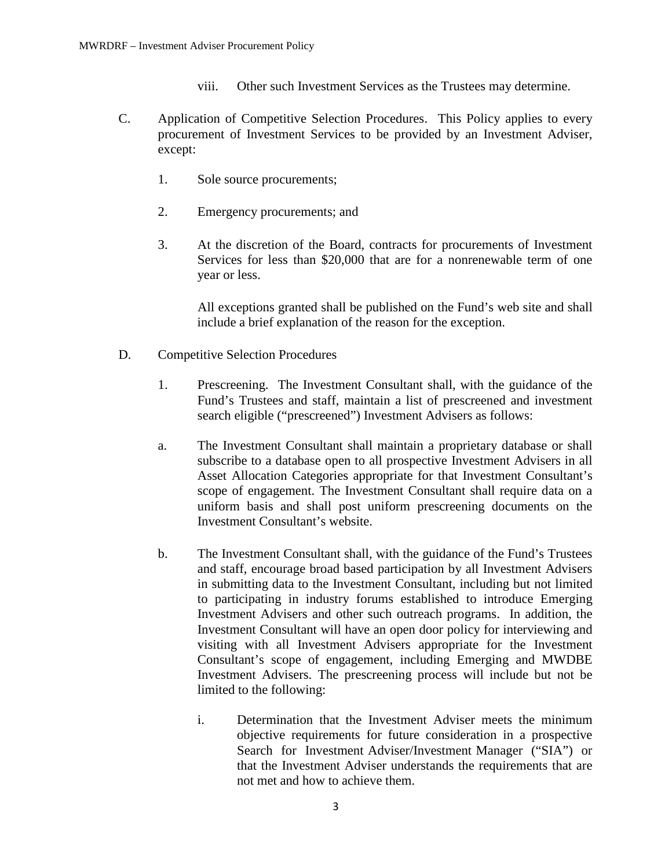- viii. Other such Investment Services as the Trustees may determine.
- C. Application of Competitive Selection Procedures. This Policy applies to every procurement of Investment Services to be provided by an Investment Adviser, except:
	- 1. Sole source procurements;
	- 2. Emergency procurements; and
	- 3. At the discretion of the Board, contracts for procurements of Investment Services for less than \$20,000 that are for a nonrenewable term of one year or less.

All exceptions granted shall be published on the Fund's web site and shall include a brief explanation of the reason for the exception.

- D. Competitive Selection Procedures
	- 1. Prescreening. The Investment Consultant shall, with the guidance of the Fund's Trustees and staff, maintain a list of prescreened and investment search eligible ("prescreened") Investment Advisers as follows:
	- a. The Investment Consultant shall maintain a proprietary database or shall subscribe to a database open to all prospective Investment Advisers in all Asset Allocation Categories appropriate for that Investment Consultant's scope of engagement. The Investment Consultant shall require data on a uniform basis and shall post uniform prescreening documents on the Investment Consultant's website.
	- b. The Investment Consultant shall, with the guidance of the Fund's Trustees and staff, encourage broad based participation by all Investment Advisers in submitting data to the Investment Consultant, including but not limited to participating in industry forums established to introduce Emerging Investment Advisers and other such outreach programs. In addition, the Investment Consultant will have an open door policy for interviewing and visiting with all Investment Advisers appropriate for the Investment Consultant's scope of engagement, including Emerging and MWDBE Investment Advisers. The prescreening process will include but not be limited to the following:
		- i. Determination that the Investment Adviser meets the minimum objective requirements for future consideration in a prospective Search for Investment Adviser/Investment Manager ("SIA") or that the Investment Adviser understands the requirements that are not met and how to achieve them.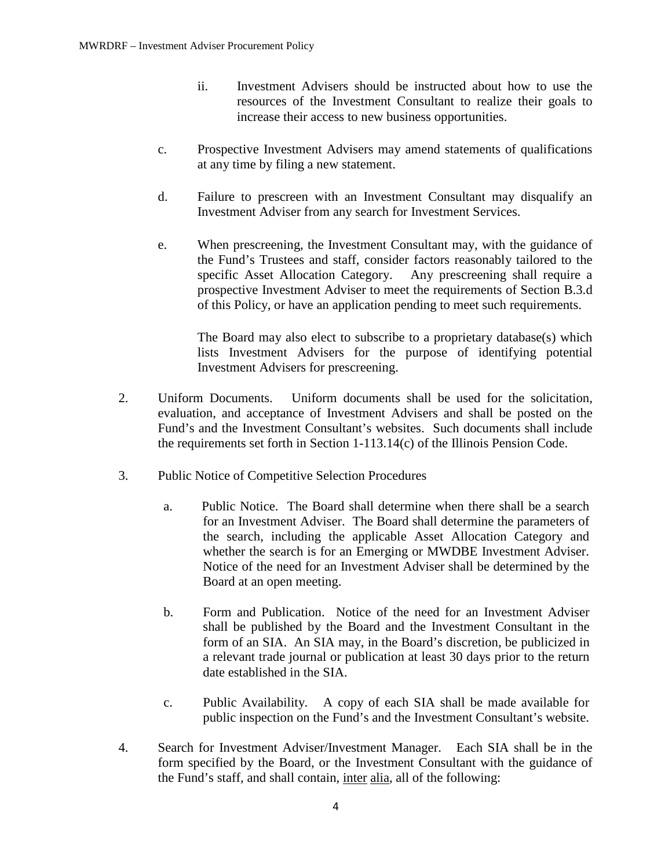- ii. Investment Advisers should be instructed about how to use the resources of the Investment Consultant to realize their goals to increase their access to new business opportunities.
- c. Prospective Investment Advisers may amend statements of qualifications at any time by filing a new statement.
- d. Failure to prescreen with an Investment Consultant may disqualify an Investment Adviser from any search for Investment Services.
- e. When prescreening, the Investment Consultant may, with the guidance of the Fund's Trustees and staff, consider factors reasonably tailored to the specific Asset Allocation Category. Any prescreening shall require a prospective Investment Adviser to meet the requirements of Section B.3.d of this Policy, or have an application pending to meet such requirements.

The Board may also elect to subscribe to a proprietary database(s) which lists Investment Advisers for the purpose of identifying potential Investment Advisers for prescreening.

- 2. Uniform Documents. Uniform documents shall be used for the solicitation, evaluation, and acceptance of Investment Advisers and shall be posted on the Fund's and the Investment Consultant's websites. Such documents shall include the requirements set forth in Section 1-113.14(c) of the Illinois Pension Code.
- 3. Public Notice of Competitive Selection Procedures
	- a. Public Notice. The Board shall determine when there shall be a search for an Investment Adviser. The Board shall determine the parameters of the search, including the applicable Asset Allocation Category and whether the search is for an Emerging or MWDBE Investment Adviser. Notice of the need for an Investment Adviser shall be determined by the Board at an open meeting.
	- b. Form and Publication. Notice of the need for an Investment Adviser shall be published by the Board and the Investment Consultant in the form of an SIA. An SIA may, in the Board's discretion, be publicized in a relevant trade journal or publication at least 30 days prior to the return date established in the SIA.
	- c. Public Availability. A copy of each SIA shall be made available for public inspection on the Fund's and the Investment Consultant's website.
- 4. Search for Investment Adviser/Investment Manager. Each SIA shall be in the form specified by the Board, or the Investment Consultant with the guidance of the Fund's staff, and shall contain, inter alia, all of the following: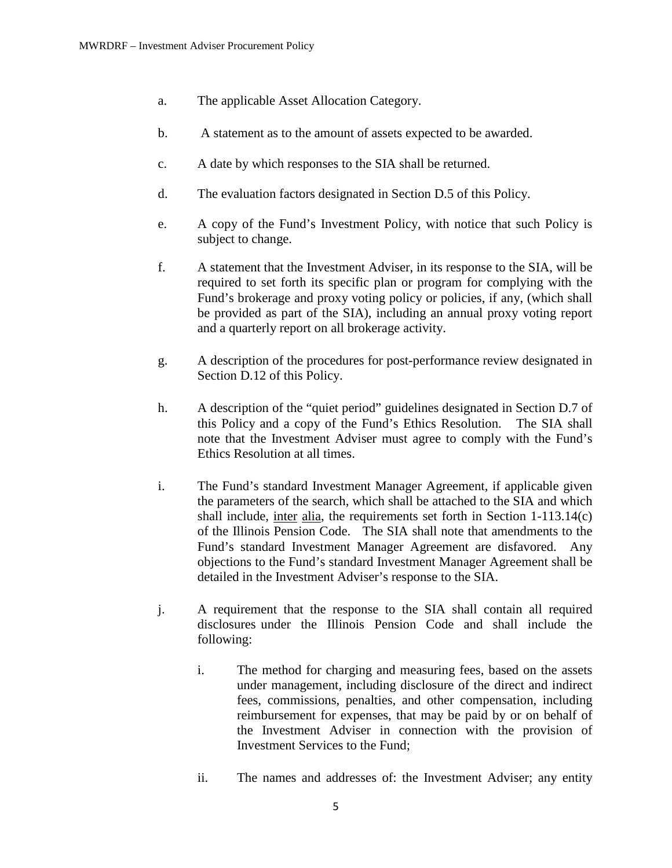- a. The applicable Asset Allocation Category.
- b. A statement as to the amount of assets expected to be awarded.
- c. A date by which responses to the SIA shall be returned.
- d. The evaluation factors designated in Section D.5 of this Policy.
- e. A copy of the Fund's Investment Policy, with notice that such Policy is subject to change.
- f. A statement that the Investment Adviser, in its response to the SIA, will be required to set forth its specific plan or program for complying with the Fund's brokerage and proxy voting policy or policies, if any, (which shall be provided as part of the SIA), including an annual proxy voting report and a quarterly report on all brokerage activity.
- g. A description of the procedures for post-performance review designated in Section D.12 of this Policy.
- h. A description of the "quiet period" guidelines designated in Section D.7 of this Policy and a copy of the Fund's Ethics Resolution. The SIA shall note that the Investment Adviser must agree to comply with the Fund's Ethics Resolution at all times.
- i. The Fund's standard Investment Manager Agreement, if applicable given the parameters of the search, which shall be attached to the SIA and which shall include, inter alia, the requirements set forth in Section 1-113.14(c) of the Illinois Pension Code. The SIA shall note that amendments to the Fund's standard Investment Manager Agreement are disfavored. Any objections to the Fund's standard Investment Manager Agreement shall be detailed in the Investment Adviser's response to the SIA.
- j. A requirement that the response to the SIA shall contain all required disclosures under the Illinois Pension Code and shall include the following:
	- i. The method for charging and measuring fees, based on the assets under management, including disclosure of the direct and indirect fees, commissions, penalties, and other compensation, including reimbursement for expenses, that may be paid by or on behalf of the Investment Adviser in connection with the provision of Investment Services to the Fund;
	- ii. The names and addresses of: the Investment Adviser; any entity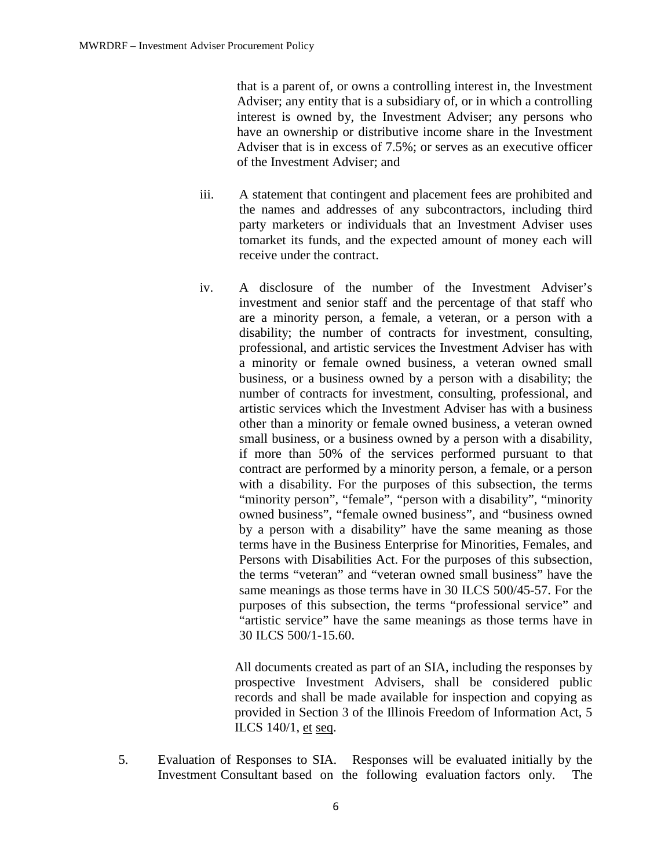that is a parent of, or owns a controlling interest in, the Investment Adviser; any entity that is a subsidiary of, or in which a controlling interest is owned by, the Investment Adviser; any persons who have an ownership or distributive income share in the Investment Adviser that is in excess of 7.5%; or serves as an executive officer of the Investment Adviser; and

- iii. A statement that contingent and placement fees are prohibited and the names and addresses of any subcontractors, including third party marketers or individuals that an Investment Adviser uses tomarket its funds, and the expected amount of money each will receive under the contract.
- iv. A disclosure of the number of the Investment Adviser's investment and senior staff and the percentage of that staff who are a minority person, a female, a veteran, or a person with a disability; the number of contracts for investment, consulting, professional, and artistic services the Investment Adviser has with a minority or female owned business, a veteran owned small business, or a business owned by a person with a disability; the number of contracts for investment, consulting, professional, and artistic services which the Investment Adviser has with a business other than a minority or female owned business, a veteran owned small business, or a business owned by a person with a disability, if more than 50% of the services performed pursuant to that contract are performed by a minority person, a female, or a person with a disability. For the purposes of this subsection, the terms "minority person", "female", "person with a disability", "minority owned business", "female owned business", and "business owned by a person with a disability" have the same meaning as those terms have in the Business Enterprise for Minorities, Females, and Persons with Disabilities Act. For the purposes of this subsection, the terms "veteran" and "veteran owned small business" have the same meanings as those terms have in 30 ILCS 500/45-57. For the purposes of this subsection, the terms "professional service" and "artistic service" have the same meanings as those terms have in 30 ILCS 500/1-15.60.

All documents created as part of an SIA, including the responses by prospective Investment Advisers, shall be considered public records and shall be made available for inspection and copying as provided in Section 3 of the Illinois Freedom of Information Act, 5 ILCS 140/1, et seq.

5. Evaluation of Responses to SIA. Responses will be evaluated initially by the Investment Consultant based on the following evaluation factors only. The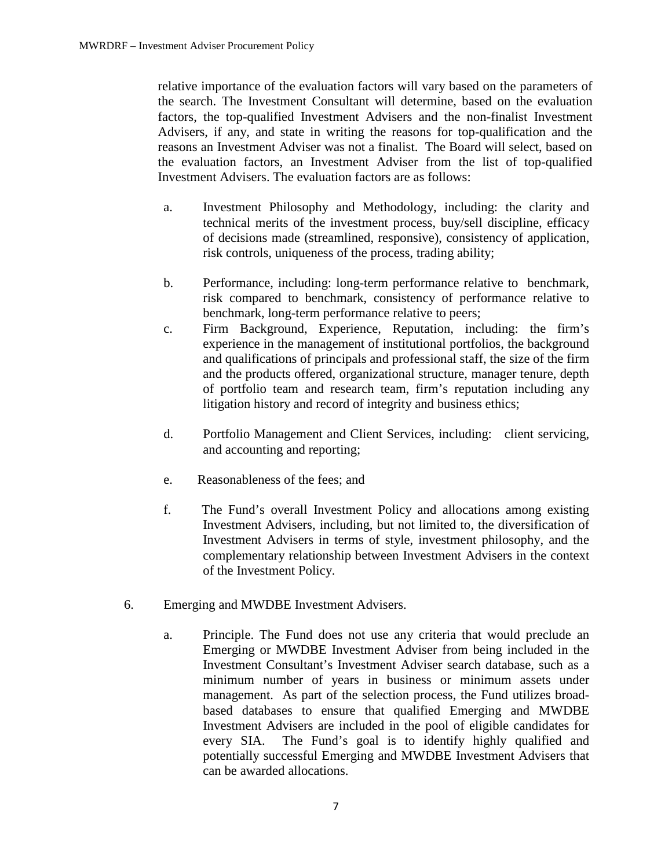relative importance of the evaluation factors will vary based on the parameters of the search. The Investment Consultant will determine, based on the evaluation factors, the top-qualified Investment Advisers and the non-finalist Investment Advisers, if any, and state in writing the reasons for top-qualification and the reasons an Investment Adviser was not a finalist. The Board will select, based on the evaluation factors, an Investment Adviser from the list of top-qualified Investment Advisers. The evaluation factors are as follows:

- a. Investment Philosophy and Methodology, including: the clarity and technical merits of the investment process, buy/sell discipline, efficacy of decisions made (streamlined, responsive), consistency of application, risk controls, uniqueness of the process, trading ability;
- b. Performance, including: long-term performance relative to benchmark, risk compared to benchmark, consistency of performance relative to benchmark, long-term performance relative to peers;
- c. Firm Background, Experience, Reputation, including: the firm's experience in the management of institutional portfolios, the background and qualifications of principals and professional staff, the size of the firm and the products offered, organizational structure, manager tenure, depth of portfolio team and research team, firm's reputation including any litigation history and record of integrity and business ethics;
- d. Portfolio Management and Client Services, including: client servicing, and accounting and reporting;
- e. Reasonableness of the fees; and
- f. The Fund's overall Investment Policy and allocations among existing Investment Advisers, including, but not limited to, the diversification of Investment Advisers in terms of style, investment philosophy, and the complementary relationship between Investment Advisers in the context of the Investment Policy.
- 6. Emerging and MWDBE Investment Advisers.
	- a. Principle. The Fund does not use any criteria that would preclude an Emerging or MWDBE Investment Adviser from being included in the Investment Consultant's Investment Adviser search database, such as a minimum number of years in business or minimum assets under management. As part of the selection process, the Fund utilizes broadbased databases to ensure that qualified Emerging and MWDBE Investment Advisers are included in the pool of eligible candidates for every SIA. The Fund's goal is to identify highly qualified and potentially successful Emerging and MWDBE Investment Advisers that can be awarded allocations.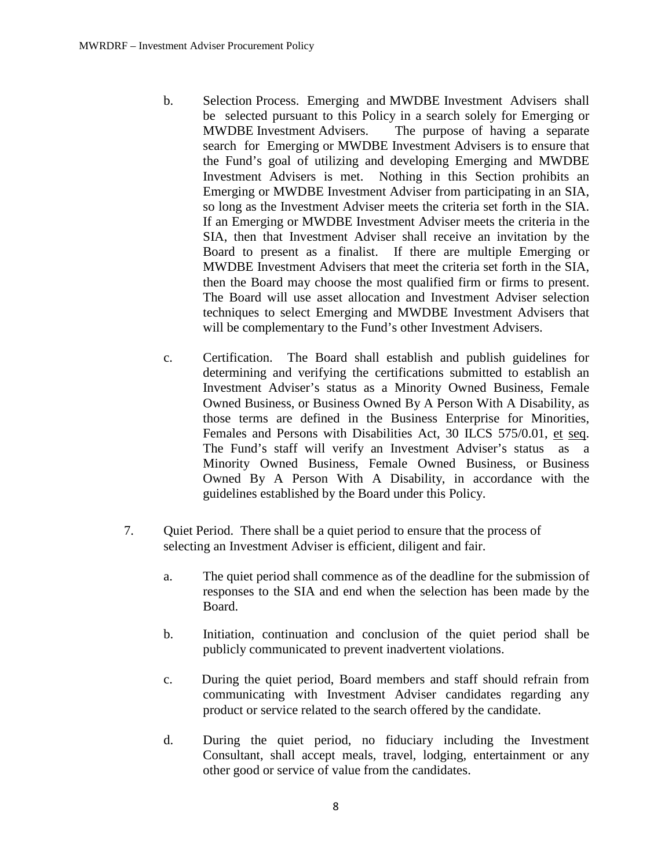- b. Selection Process. Emerging and MWDBE Investment Advisers shall be selected pursuant to this Policy in a search solely for Emerging or MWDBE Investment Advisers. The purpose of having a separate search for Emerging or MWDBE Investment Advisers is to ensure that the Fund's goal of utilizing and developing Emerging and MWDBE Investment Advisers is met. Nothing in this Section prohibits an Emerging or MWDBE Investment Adviser from participating in an SIA, so long as the Investment Adviser meets the criteria set forth in the SIA. If an Emerging or MWDBE Investment Adviser meets the criteria in the SIA, then that Investment Adviser shall receive an invitation by the Board to present as a finalist. If there are multiple Emerging or MWDBE Investment Advisers that meet the criteria set forth in the SIA, then the Board may choose the most qualified firm or firms to present. The Board will use asset allocation and Investment Adviser selection techniques to select Emerging and MWDBE Investment Advisers that will be complementary to the Fund's other Investment Advisers.
- c. Certification. The Board shall establish and publish guidelines for determining and verifying the certifications submitted to establish an Investment Adviser's status as a Minority Owned Business, Female Owned Business, or Business Owned By A Person With A Disability, as those terms are defined in the Business Enterprise for Minorities, Females and Persons with Disabilities Act, 30 ILCS 575/0.01, et seq. The Fund's staff will verify an Investment Adviser's status as a Minority Owned Business, Female Owned Business, or Business Owned By A Person With A Disability, in accordance with the guidelines established by the Board under this Policy.
- 7. Quiet Period. There shall be a quiet period to ensure that the process of selecting an Investment Adviser is efficient, diligent and fair.
	- a. The quiet period shall commence as of the deadline for the submission of responses to the SIA and end when the selection has been made by the Board.
	- b. Initiation, continuation and conclusion of the quiet period shall be publicly communicated to prevent inadvertent violations.
	- c. During the quiet period, Board members and staff should refrain from communicating with Investment Adviser candidates regarding any product or service related to the search offered by the candidate.
	- d. During the quiet period, no fiduciary including the Investment Consultant, shall accept meals, travel, lodging, entertainment or any other good or service of value from the candidates.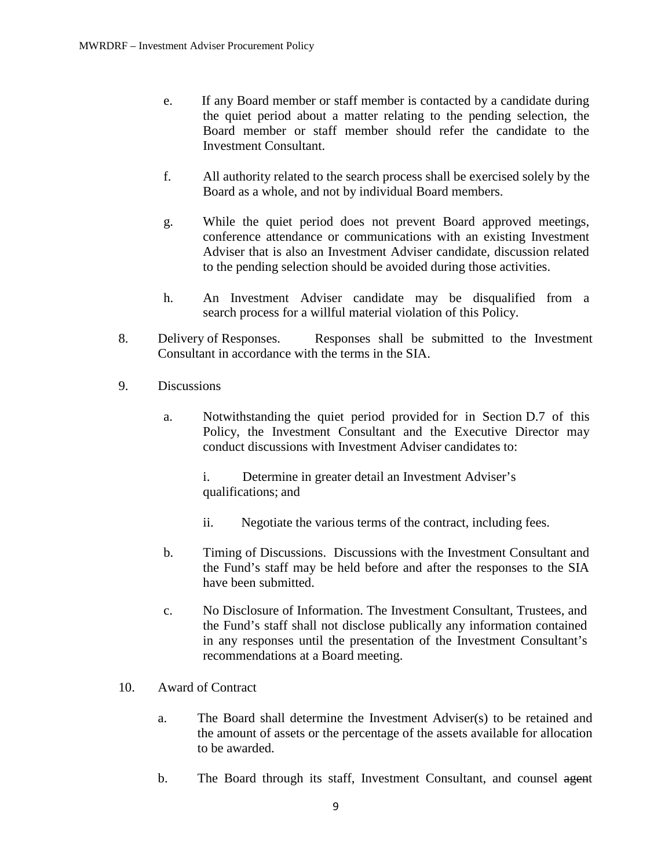- e. If any Board member or staff member is contacted by a candidate during the quiet period about a matter relating to the pending selection, the Board member or staff member should refer the candidate to the Investment Consultant.
- f. All authority related to the search process shall be exercised solely by the Board as a whole, and not by individual Board members.
- g. While the quiet period does not prevent Board approved meetings, conference attendance or communications with an existing Investment Adviser that is also an Investment Adviser candidate, discussion related to the pending selection should be avoided during those activities.
- h. An Investment Adviser candidate may be disqualified from a search process for a willful material violation of this Policy.
- 8. Delivery of Responses. Responses shall be submitted to the Investment Consultant in accordance with the terms in the SIA.
- 9. Discussions
	- a. Notwithstanding the quiet period provided for in Section D.7 of this Policy, the Investment Consultant and the Executive Director may conduct discussions with Investment Adviser candidates to:

i. Determine in greater detail an Investment Adviser's qualifications; and

- ii. Negotiate the various terms of the contract, including fees.
- b. Timing of Discussions. Discussions with the Investment Consultant and the Fund's staff may be held before and after the responses to the SIA have been submitted.
- c. No Disclosure of Information. The Investment Consultant, Trustees, and the Fund's staff shall not disclose publically any information contained in any responses until the presentation of the Investment Consultant's recommendations at a Board meeting.
- 10. Award of Contract
	- a. The Board shall determine the Investment Adviser(s) to be retained and the amount of assets or the percentage of the assets available for allocation to be awarded.
	- b. The Board through its staff, Investment Consultant, and counsel agent